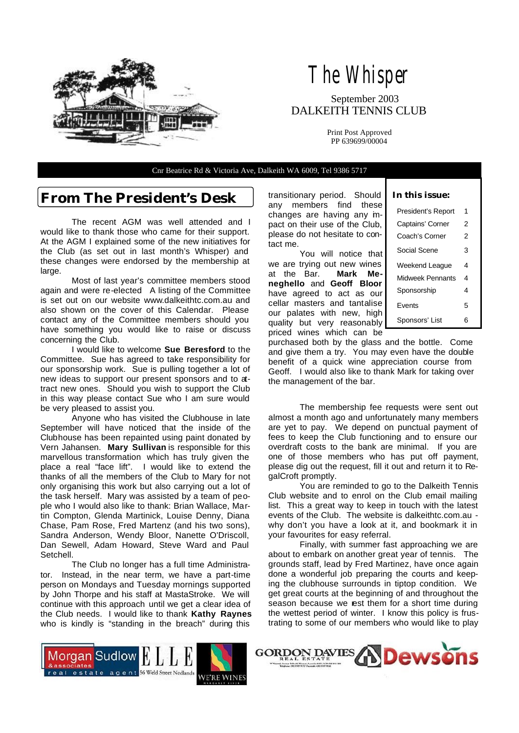

# The Whisper

 September 2003 DALKEITH TENNIS CLUB

> Print Post Approved PP 639699/00004

Cnr Beatrice Rd & Victoria Ave, Dalkeith WA 6009, Tel 9386 5717

### **From The President's Desk**

 The recent AGM was well attended and I would like to thank those who came for their support. At the AGM I explained some of the new initiatives for the Club (as set out in last month's Whisper) and these changes were endorsed by the membership at large.

 Most of last year's committee members stood again and were re-elected A listing of the Committee is set out on our website www.dalkeithtc.com.au and also shown on the cover of this Calendar. Please contact any of the Committee members should you have something you would like to raise or discuss concerning the Club.

 I would like to welcome **Sue Beresford** to the Committee. Sue has agreed to take responsibility for our sponsorship work. Sue is pulling together a lot of new ideas to support our present sponsors and to attract new ones. Should you wish to support the Club in this way please contact Sue who I am sure would be very pleased to assist you.

 Anyone who has visited the Clubhouse in late September will have noticed that the inside of the Clubhouse has been repainted using paint donated by Vern Jahansen. **Mary Sullivan** is responsible for this marvellous transformation which has truly given the place a real "face lift". I would like to extend the thanks of all the members of the Club to Mary for not only organising this work but also carrying out a lot of the task herself. Mary was assisted by a team of people who I would also like to thank: Brian Wallace, Martin Compton, Glenda Martinick, Louise Denny, Diana Chase, Pam Rose, Fred Martenz (and his two sons), Sandra Anderson, Wendy Bloor, Nanette O'Driscoll, Dan Sewell, Adam Howard, Steve Ward and Paul Setchell.

 The Club no longer has a full time Administrator. Instead, in the near term, we have a part-time person on Mondays and Tuesday mornings supported by John Thorpe and his staff at MastaStroke. We will continue with this approach until we get a clear idea of the Club needs. I would like to thank **Kathy Raynes** who is kindly is "standing in the breach" during this

transitionary period. Should any members find these changes are having any impact on their use of the Club, please do not hesitate to contact me.

 You will notice that we are trying out new wines at the Bar. **Mark Meneghello** and **Geoff Bloor** have agreed to act as our cellar masters and tantalise our palates with new, high quality but very reasonably priced wines which can be

#### **In this issue:**

| President's Report | 1 |
|--------------------|---|
| Captains' Corner   | 2 |
| Coach's Corner     | 2 |
| Social Scene       | 3 |
| Weekend League     | 4 |
| Midweek Pennants   | 4 |
| Sponsorship        | 4 |
| Fvents             | 5 |
| Sponsors' List     | ค |

purchased both by the glass and the bottle. Come and give them a try. You may even have the double benefit of a quick wine appreciation course from Geoff. I would also like to thank Mark for taking over the management of the bar.

 The membership fee requests were sent out almost a month ago and unfortunately many members are yet to pay. We depend on punctual payment of fees to keep the Club functioning and to ensure our overdraft costs to the bank are minimal. If you are one of those members who has put off payment, please dig out the request, fill it out and return it to RegalCroft promptly.

 You are reminded to go to the Dalkeith Tennis Club website and to enrol on the Club email mailing list. This a great way to keep in touch with the latest events of the Club. The website is dalkeithtc.com.au why don't you have a look at it, and bookmark it in your favourites for easy referral.

 Finally, with summer fast approaching we are about to embark on another great year of tennis. The grounds staff, lead by Fred Martinez, have once again done a wonderful job preparing the courts and keeping the clubhouse surrounds in tiptop condition. We get great courts at the beginning of and throughout the season because we rest them for a short time during the wettest period of winter. I know this policy is frustrating to some of our members who would like to play



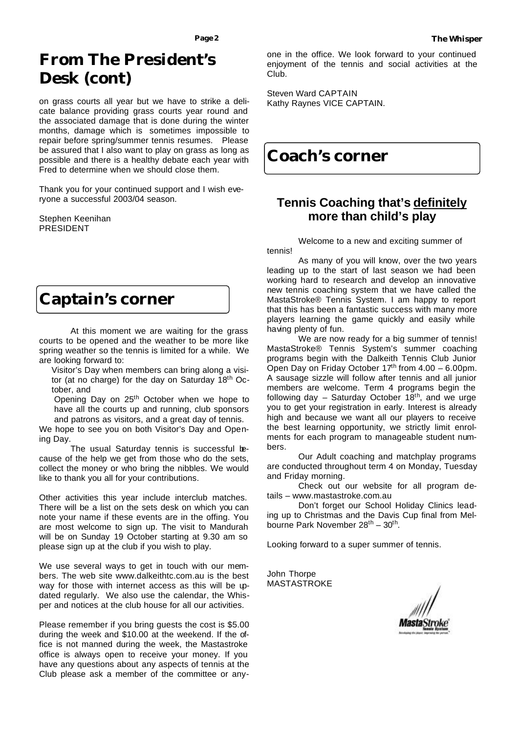### **From The President's Desk (cont)**

on grass courts all year but we have to strike a delicate balance providing grass courts year round and the associated damage that is done during the winter months, damage which is sometimes impossible to repair before spring/summer tennis resumes. Please be assured that I also want to play on grass as long as possible and there is a healthy debate each year with Fred to determine when we should close them.

Thank you for your continued support and I wish everyone a successful 2003/04 season.

Stephen Keenihan PRESIDENT

### **Captain's corner**

 At this moment we are waiting for the grass courts to be opened and the weather to be more like spring weather so the tennis is limited for a while. We are looking forward to:

 Visitor's Day when members can bring along a visitor (at no charge) for the day on Saturday 18<sup>th</sup> October, and

Opening Day on 25<sup>th</sup> October when we hope to have all the courts up and running, club sponsors and patrons as visitors, and a great day of tennis.

We hope to see you on both Visitor's Day and Opening Day.

The usual Saturday tennis is successful because of the help we get from those who do the sets, collect the money or who bring the nibbles. We would like to thank you all for your contributions.

Other activities this year include interclub matches. There will be a list on the sets desk on which you can note your name if these events are in the offing. You are most welcome to sign up. The visit to Mandurah will be on Sunday 19 October starting at 9.30 am so please sign up at the club if you wish to play.

We use several ways to get in touch with our members. The web site www.dalkeithtc.com.au is the best way for those with internet access as this will be updated regularly. We also use the calendar, the Whisper and notices at the club house for all our activities.

Please remember if you bring guests the cost is \$5.00 during the week and \$10.00 at the weekend. If the office is not manned during the week, the Mastastroke office is always open to receive your money. If you have any questions about any aspects of tennis at the Club please ask a member of the committee or anyone in the office. We look forward to your continued enjoyment of the tennis and social activities at the Club.

Steven Ward CAPTAIN Kathy Raynes VICE CAPTAIN.

### **Coach's corner**

### **Tennis Coaching that's definitely more than child's play**

Welcome to a new and exciting summer of tennis!

As many of you will know, over the two years leading up to the start of last season we had been working hard to research and develop an innovative new tennis coaching system that we have called the MastaStroke® Tennis System. I am happy to report that this has been a fantastic success with many more players learning the game quickly and easily while having plenty of fun.

We are now ready for a big summer of tennis! MastaStroke® Tennis System's summer coaching programs begin with the Dalkeith Tennis Club Junior Open Day on Friday October  $17<sup>th</sup>$  from  $4.00 - 6.00$ pm. A sausage sizzle will follow after tennis and all junior members are welcome. Term 4 programs begin the following day  $-$  Saturday October 18<sup>th</sup>, and we urge you to get your registration in early. Interest is already high and because we want all our players to receive the best learning opportunity, we strictly limit enrolments for each program to manageable student numbers.

Our Adult coaching and matchplay programs are conducted throughout term 4 on Monday, Tuesday and Friday morning.

Check out our website for all program details – www.mastastroke.com.au

Don't forget our School Holiday Clinics leading up to Christmas and the Davis Cup final from Melbourne Park November 28<sup>th</sup> - 30<sup>th</sup>.

Looking forward to a super summer of tennis.

John Thorpe MASTASTROKE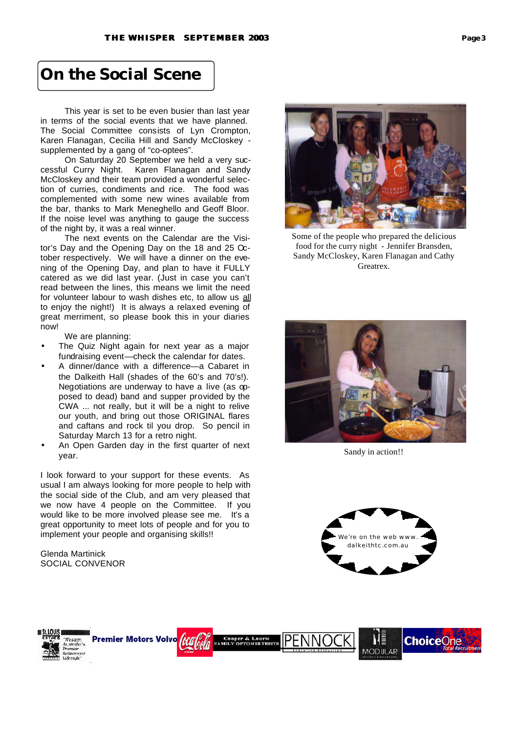### **On the Social Scene**

 This year is set to be even busier than last year in terms of the social events that we have planned. The Social Committee consists of Lyn Crompton, Karen Flanagan, Cecilia Hill and Sandy McCloskey supplemented by a gang of "co-optees".

 On Saturday 20 September we held a very successful Curry Night. Karen Flanagan and Sandy McCloskey and their team provided a wonderful selection of curries, condiments and rice. The food was complemented with some new wines available from the bar, thanks to Mark Meneghello and Geoff Bloor. If the noise level was anything to gauge the success of the night by, it was a real winner.

 The next events on the Calendar are the Visitor's Day and the Opening Day on the 18 and 25 October respectively. We will have a dinner on the evening of the Opening Day, and plan to have it FULLY catered as we did last year. (Just in case you can't read between the lines, this means we limit the need for volunteer labour to wash dishes etc, to allow us all to enjoy the night!) It is always a relaxed evening of great merriment, so please book this in your diaries now!

We are planning:

- The Quiz Night again for next year as a major fundraising event—check the calendar for dates.
- A dinner/dance with a difference—a Cabaret in the Dalkeith Hall (shades of the 60's and 70's!). Negotiations are underway to have a live (as opposed to dead) band and supper provided by the CWA ... not really, but it will be a night to relive our youth, and bring out those ORIGINAL flares and caftans and rock til you drop. So pencil in Saturday March 13 for a retro night.
- An Open Garden day in the first quarter of next year.

I look forward to your support for these events. As usual I am always looking for more people to help with the social side of the Club, and am very pleased that we now have 4 people on the Committee. If you would like to be more involved please see me. It's a great opportunity to meet lots of people and for you to implement your people and organising skills!!

Glenda Martinick SOCIAL CONVENOR



Some of the people who prepared the delicious food for the curry night - Jennifer Bransden, Sandy McCloskey, Karen Flanagan and Cathy Greatrex.



Sandy in action!!



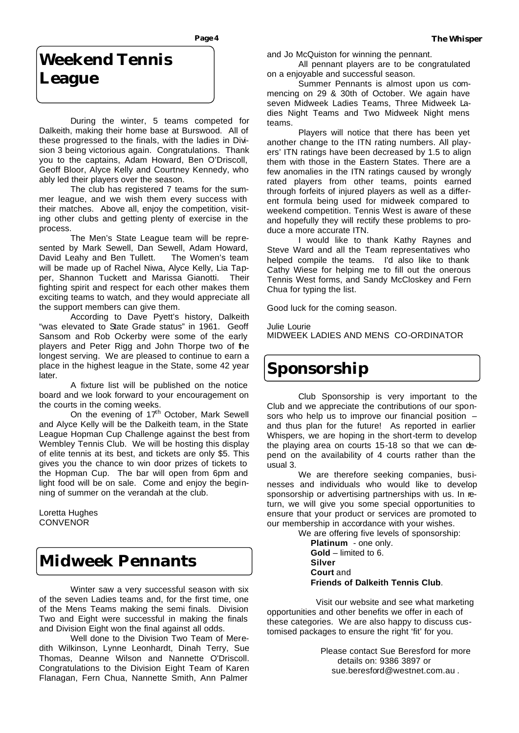## **Weekend Tennis League**

During the winter, 5 teams competed for Dalkeith, making their home base at Burswood. All of these progressed to the finals, with the ladies in Division 3 being victorious again. Congratulations. Thank you to the captains, Adam Howard, Ben O'Driscoll, Geoff Bloor, Alyce Kelly and Courtney Kennedy, who ably led their players over the season.

The club has registered 7 teams for the summer league, and we wish them every success with their matches. Above all, enjoy the competition, visiting other clubs and getting plenty of exercise in the process.

The Men's State League team will be represented by Mark Sewell, Dan Sewell, Adam Howard, David Leahy and Ben Tullett. The Women's team will be made up of Rachel Niwa, Alyce Kelly, Lia Tapper, Shannon Tuckett and Marissa Gianotti. Their fighting spirit and respect for each other makes them exciting teams to watch, and they would appreciate all the support members can give them.

According to Dave Pyett's history, Dalkeith "was elevated to State Grade status" in 1961. Geoff Sansom and Rob Ockerby were some of the early players and Peter Rigg and John Thorpe two of the longest serving. We are pleased to continue to earn a place in the highest league in the State, some 42 year later.

A fixture list will be published on the notice board and we look forward to your encouragement on the courts in the coming weeks.

On the evening of  $17<sup>th</sup>$  October, Mark Sewell and Alyce Kelly will be the Dalkeith team, in the State League Hopman Cup Challenge against the best from Wembley Tennis Club. We will be hosting this display of elite tennis at its best, and tickets are only \$5. This gives you the chance to win door prizes of tickets to the Hopman Cup. The bar will open from 6pm and light food will be on sale. Come and enjoy the beginning of summer on the verandah at the club.

Loretta Hughes **CONVENOR** 

### **Midweek Pennants**

 Winter saw a very successful season with six of the seven Ladies teams and, for the first time, one of the Mens Teams making the semi finals. Division Two and Eight were successful in making the finals and Division Eight won the final against all odds.

 Well done to the Division Two Team of Meredith Wilkinson, Lynne Leonhardt, Dinah Terry, Sue Thomas, Deanne Wilson and Nannette O'Driscoll. Congratulations to the Division Eight Team of Karen Flanagan, Fern Chua, Nannette Smith, Ann Palmer

and Jo McQuiston for winning the pennant.

 All pennant players are to be congratulated on a enjoyable and successful season.

 Summer Pennants is almost upon us commencing on 29 & 30th of October. We again have seven Midweek Ladies Teams, Three Midweek Ladies Night Teams and Two Midweek Night mens teams.

 Players will notice that there has been yet another change to the ITN rating numbers. All players' ITN ratings have been decreased by 1.5 to align them with those in the Eastern States. There are a few anomalies in the ITN ratings caused by wrongly rated players from other teams, points earned through forfeits of injured players as well as a different formula being used for midweek compared to weekend competition. Tennis West is aware of these and hopefully they will rectify these problems to produce a more accurate ITN.

 I would like to thank Kathy Raynes and Steve Ward and all the Team representatives who helped compile the teams. I'd also like to thank Cathy Wiese for helping me to fill out the onerous Tennis West forms, and Sandy McCloskey and Fern Chua for typing the list.

Good luck for the coming season.

Julie Lourie MIDWEEK LADIES AND MENS CO-ORDINATOR

### **Sponsorship**

Club Sponsorship is very important to the Club and we appreciate the contributions of our sponsors who help us to improve our financial position – and thus plan for the future! As reported in earlier Whispers, we are hoping in the short-term to develop the playing area on courts 15-18 so that we can depend on the availability of 4 courts rather than the usual 3.

We are therefore seeking companies, businesses and individuals who would like to develop sponsorship or advertising partnerships with us. In return, we will give you some special opportunities to ensure that your product or services are promoted to our membership in accordance with your wishes.

We are offering five levels of sponsorship: **Platinum** - one only. **Gold** – limited to 6. **Silver Court** and

**Friends of Dalkeith Tennis Club**.

Visit our website and see what marketing opportunities and other benefits we offer in each of these categories. We are also happy to discuss customised packages to ensure the right 'fit' for you.

> Please contact Sue Beresford for more details on: 9386 3897 or sue.beresford@westnet.com.au .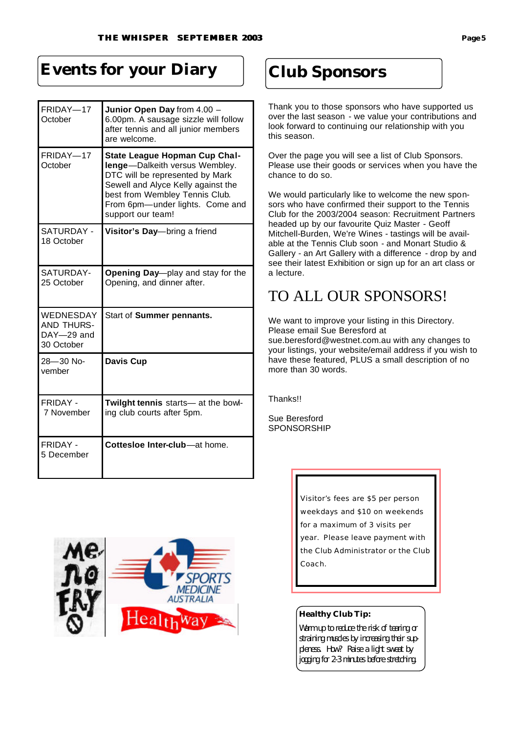## **Events for your Diary**

| FRIDAY-17<br>October                                | Junior Open Day from 4.00 -<br>6.00pm. A sausage sizzle will follow<br>after tennis and all junior members<br>are welcome.                                                                                                                |
|-----------------------------------------------------|-------------------------------------------------------------------------------------------------------------------------------------------------------------------------------------------------------------------------------------------|
| FRIDAY-17<br>October                                | <b>State League Hopman Cup Chal-</b><br>lenge-Dalkeith versus Wembley.<br>DTC will be represented by Mark<br>Sewell and Alyce Kelly against the<br>best from Wembley Tennis Club.<br>From 6pm-under lights. Come and<br>support our team! |
| SATURDAY -<br>18 October                            | Visitor's Day-bring a friend                                                                                                                                                                                                              |
| SATURDAY-<br>25 October                             | Opening Day-play and stay for the<br>Opening, and dinner after.                                                                                                                                                                           |
| WEDNESDAY<br>AND THURS-<br>DAY-29 and<br>30 October | Start of Summer pennants.                                                                                                                                                                                                                 |
| 28-30 No-<br>vember                                 | <b>Davis Cup</b>                                                                                                                                                                                                                          |
| FRIDAY -<br>7 November                              | Twilght tennis starts-at the bowl-<br>ing club courts after 5pm.                                                                                                                                                                          |
| <b>FRIDAY -</b><br>5 December                       | Cottesloe Inter-club-at home.                                                                                                                                                                                                             |



## **Club Sponsors**

Thank you to those sponsors who have supported us over the last season - we value your contributions and look forward to continuing our relationship with you this season.

Over the page you will see a list of Club Sponsors. Please use their goods or services when you have the chance to do so.

We would particularly like to welcome the new sponsors who have confirmed their support to the Tennis Club for the 2003/2004 season: Recruitment Partners headed up by our favourite Quiz Master - Geoff Mitchell-Burden, We're Wines - tastings will be available at the Tennis Club soon - and Monart Studio & Gallery - an Art Gallery with a difference - drop by and see their latest Exhibition or sign up for an art class or a lecture.

### TO ALL OUR SPONSORS!

We want to improve your listing in this Directory. Please email Sue Beresford at

sue.beresford@westnet.com.au with any changes to your listings, your website/email address if you wish to have these featured, PLUS a small description of no more than 30 words.

Thanks!!

Sue Beresford SPONSORSHIP

> Visitor's fees are \$5 per person weekdays and \$10 on weekends for a maximum of 3 visits per year. Please leave payment with the Club Administrator or the Club Coach.

### **Healthy Club Tip:**

Warm up to reduce the risk of tearing or straining muscles by increasing their suppleness. How? Raise a light sweat by jogging for 2-3 minutes before stretching.